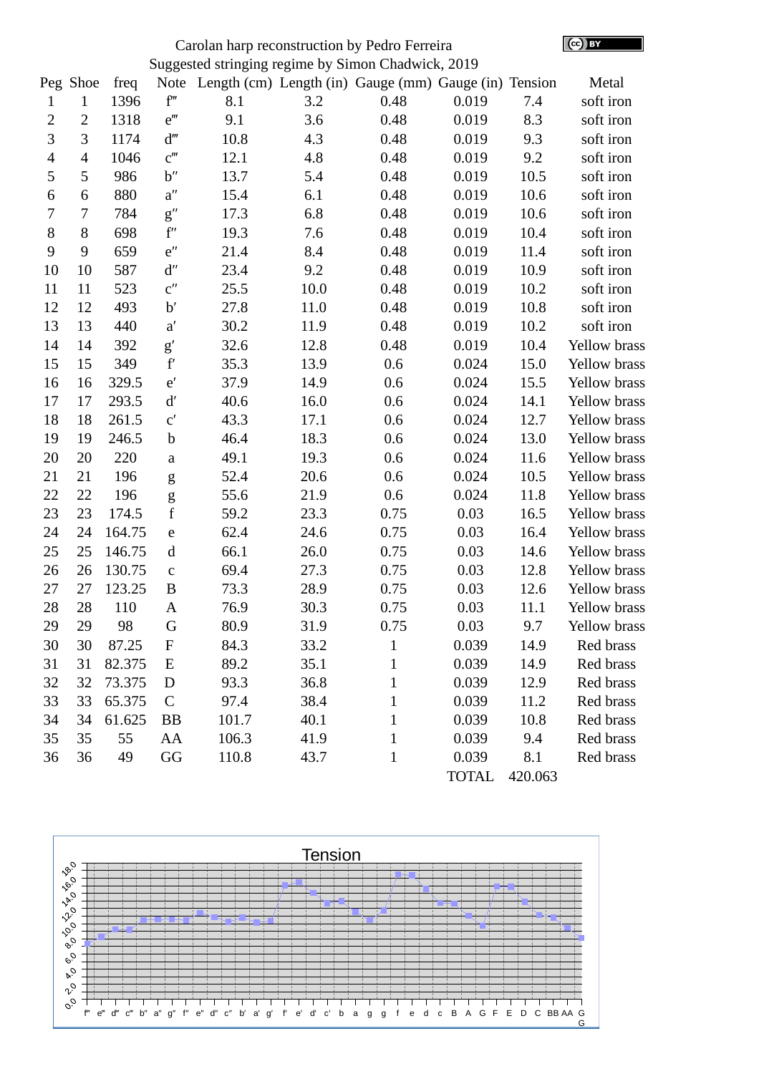| Carolan harp reconstruction by Pedro Ferreira      |                |        |                             |                                                       |      |              |              |         |              |
|----------------------------------------------------|----------------|--------|-----------------------------|-------------------------------------------------------|------|--------------|--------------|---------|--------------|
| Suggested stringing regime by Simon Chadwick, 2019 |                |        |                             |                                                       |      |              |              |         |              |
|                                                    | Peg Shoe       | freq   | Note                        | Length (cm) Length (in) Gauge (mm) Gauge (in) Tension |      |              |              |         | Metal        |
| $\mathbf{1}$                                       | $\mathbf{1}$   | 1396   | f'''                        | 8.1                                                   | 3.2  | 0.48         | 0.019        | 7.4     | soft iron    |
| 2                                                  | $\overline{2}$ | 1318   | $e^{\prime\prime\prime}$    | 9.1                                                   | 3.6  | 0.48         | 0.019        | 8.3     | soft iron    |
| 3                                                  | 3              | 1174   | $d^{\prime\prime\prime}$    | 10.8                                                  | 4.3  | 0.48         | 0.019        | 9.3     | soft iron    |
| $\overline{4}$                                     | $\overline{4}$ | 1046   | $C^{\prime\prime\prime}$    | 12.1                                                  | 4.8  | 0.48         | 0.019        | 9.2     | soft iron    |
| 5                                                  | 5              | 986    | b''                         | 13.7                                                  | 5.4  | 0.48         | 0.019        | 10.5    | soft iron    |
| 6                                                  | 6              | 880    | $a^{\prime\prime}$          | 15.4                                                  | 6.1  | 0.48         | 0.019        | 10.6    | soft iron    |
| 7                                                  | 7              | 784    | g''                         | 17.3                                                  | 6.8  | 0.48         | 0.019        | 10.6    | soft iron    |
| 8                                                  | 8              | 698    | $\mathbf{f}^{\prime\prime}$ | 19.3                                                  | 7.6  | 0.48         | 0.019        | 10.4    | soft iron    |
| 9                                                  | 9              | 659    | $e^{\prime\prime}$          | 21.4                                                  | 8.4  | 0.48         | 0.019        | 11.4    | soft iron    |
| 10                                                 | 10             | 587    | d''                         | 23.4                                                  | 9.2  | 0.48         | 0.019        | 10.9    | soft iron    |
| 11                                                 | 11             | 523    | C''                         | 25.5                                                  | 10.0 | 0.48         | 0.019        | 10.2    | soft iron    |
| 12                                                 | 12             | 493    | b'                          | 27.8                                                  | 11.0 | 0.48         | 0.019        | 10.8    | soft iron    |
| 13                                                 | 13             | 440    | a'                          | 30.2                                                  | 11.9 | 0.48         | 0.019        | 10.2    | soft iron    |
| 14                                                 | 14             | 392    | g'                          | 32.6                                                  | 12.8 | 0.48         | 0.019        | 10.4    | Yellow brass |
| 15                                                 | 15             | 349    | $\mathbf{f}'$               | 35.3                                                  | 13.9 | 0.6          | 0.024        | 15.0    | Yellow brass |
| 16                                                 | 16             | 329.5  | $\mathsf{e}'$               | 37.9                                                  | 14.9 | 0.6          | 0.024        | 15.5    | Yellow brass |
| 17                                                 | 17             | 293.5  | $\mathbf{d}'$               | 40.6                                                  | 16.0 | 0.6          | 0.024        | 14.1    | Yellow brass |
| 18                                                 | 18             | 261.5  | $\text{C}^\prime$           | 43.3                                                  | 17.1 | 0.6          | 0.024        | 12.7    | Yellow brass |
| 19                                                 | 19             | 246.5  | $\mathbf b$                 | 46.4                                                  | 18.3 | 0.6          | 0.024        | 13.0    | Yellow brass |
| 20                                                 | 20             | 220    | $\mathbf a$                 | 49.1                                                  | 19.3 | 0.6          | 0.024        | 11.6    | Yellow brass |
| 21                                                 | 21             | 196    | g                           | 52.4                                                  | 20.6 | 0.6          | 0.024        | 10.5    | Yellow brass |
| 22                                                 | 22             | 196    | g                           | 55.6                                                  | 21.9 | 0.6          | 0.024        | 11.8    | Yellow brass |
| 23                                                 | 23             | 174.5  | $\mathbf f$                 | 59.2                                                  | 23.3 | 0.75         | 0.03         | 16.5    | Yellow brass |
| 24                                                 | 24             | 164.75 | $\mathsf e$                 | 62.4                                                  | 24.6 | 0.75         | 0.03         | 16.4    | Yellow brass |
| 25                                                 | 25             | 146.75 | $\mathbf d$                 | 66.1                                                  | 26.0 | 0.75         | 0.03         | 14.6    | Yellow brass |
| 26                                                 | 26             | 130.75 | $\mathsf C$                 | 69.4                                                  | 27.3 | 0.75         | 0.03         | 12.8    | Yellow brass |
| 27                                                 | 27             | 123.25 | $\bf{B}$                    | 73.3                                                  | 28.9 | 0.75         | 0.03         | 12.6    | Yellow brass |
| 28                                                 | 28             | 110    | A                           | 76.9                                                  | 30.3 | 0.75         | 0.03         | 11.1    | Yellow brass |
| 29                                                 | 29             | 98     | G                           | 80.9                                                  | 31.9 | 0.75         | 0.03         | 9.7     | Yellow brass |
| 30                                                 | 30             | 87.25  | ${\bf F}$                   | 84.3                                                  | 33.2 | $\mathbf{1}$ | 0.039        | 14.9    | Red brass    |
| 31                                                 | 31             | 82.375 | E                           | 89.2                                                  | 35.1 | $\mathbf{1}$ | 0.039        | 14.9    | Red brass    |
| 32                                                 | 32             | 73.375 | D                           | 93.3                                                  | 36.8 | $\mathbf{1}$ | 0.039        | 12.9    | Red brass    |
| 33                                                 | 33             | 65.375 | $\mathsf{C}$                | 97.4                                                  | 38.4 | $\mathbf{1}$ | 0.039        | 11.2    | Red brass    |
| 34                                                 | 34             | 61.625 | <b>BB</b>                   | 101.7                                                 | 40.1 | $\mathbf{1}$ | 0.039        | 10.8    | Red brass    |
| 35                                                 | 35             | 55     | AA                          | 106.3                                                 | 41.9 | $\mathbf{1}$ | 0.039        | 9.4     | Red brass    |
| 36                                                 | 36             | 49     | GG                          | 110.8                                                 | 43.7 | $\mathbf{1}$ | 0.039        | 8.1     | Red brass    |
|                                                    |                |        |                             |                                                       |      |              | <b>TOTAL</b> | 420.063 |              |